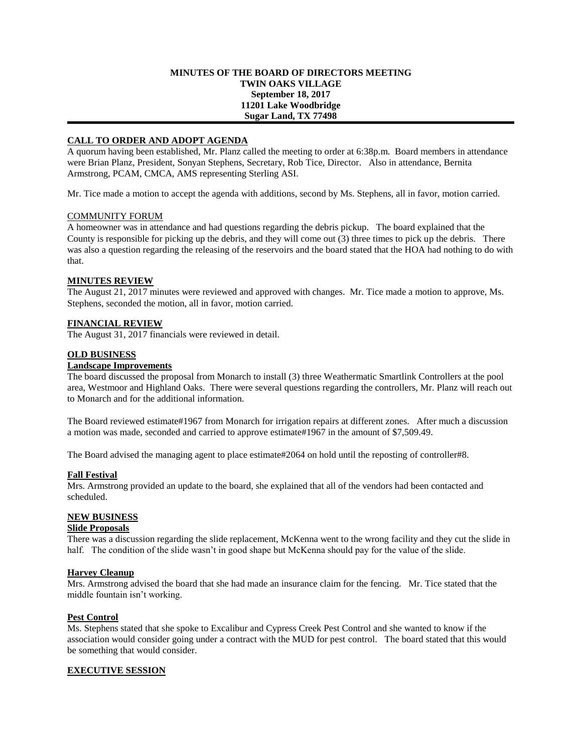## **MINUTES OF THE BOARD OF DIRECTORS MEETING TWIN OAKS VILLAGE September 18, 2017 11201 Lake Woodbridge Sugar Land, TX 77498**

# **CALL TO ORDER AND ADOPT AGENDA**

A quorum having been established, Mr. Planz called the meeting to order at 6:38p.m. Board members in attendance were Brian Planz, President, Sonyan Stephens, Secretary, Rob Tice, Director. Also in attendance, Bernita Armstrong, PCAM, CMCA, AMS representing Sterling ASI.

Mr. Tice made a motion to accept the agenda with additions, second by Ms. Stephens, all in favor, motion carried.

## COMMUNITY FORUM

A homeowner was in attendance and had questions regarding the debris pickup. The board explained that the County is responsible for picking up the debris, and they will come out (3) three times to pick up the debris. There was also a question regarding the releasing of the reservoirs and the board stated that the HOA had nothing to do with that.

# **MINUTES REVIEW**

The August 21, 2017 minutes were reviewed and approved with changes. Mr. Tice made a motion to approve, Ms. Stephens, seconded the motion, all in favor, motion carried.

## **FINANCIAL REVIEW**

The August 31, 2017 financials were reviewed in detail.

## **OLD BUSINESS**

## **Landscape Improvements**

The board discussed the proposal from Monarch to install (3) three Weathermatic Smartlink Controllers at the pool area, Westmoor and Highland Oaks. There were several questions regarding the controllers, Mr. Planz will reach out to Monarch and for the additional information.

The Board reviewed estimate#1967 from Monarch for irrigation repairs at different zones. After much a discussion a motion was made, seconded and carried to approve estimate#1967 in the amount of \$7,509.49.

The Board advised the managing agent to place estimate#2064 on hold until the reposting of controller#8.

#### **Fall Festival**

Mrs. Armstrong provided an update to the board, she explained that all of the vendors had been contacted and scheduled.

# **NEW BUSINESS**

# **Slide Proposals**

There was a discussion regarding the slide replacement, McKenna went to the wrong facility and they cut the slide in half. The condition of the slide wasn't in good shape but McKenna should pay for the value of the slide.

# **Harvey Cleanup**

Mrs. Armstrong advised the board that she had made an insurance claim for the fencing. Mr. Tice stated that the middle fountain isn't working.

#### **Pest Control**

Ms. Stephens stated that she spoke to Excalibur and Cypress Creek Pest Control and she wanted to know if the association would consider going under a contract with the MUD for pest control. The board stated that this would be something that would consider.

# **EXECUTIVE SESSION**